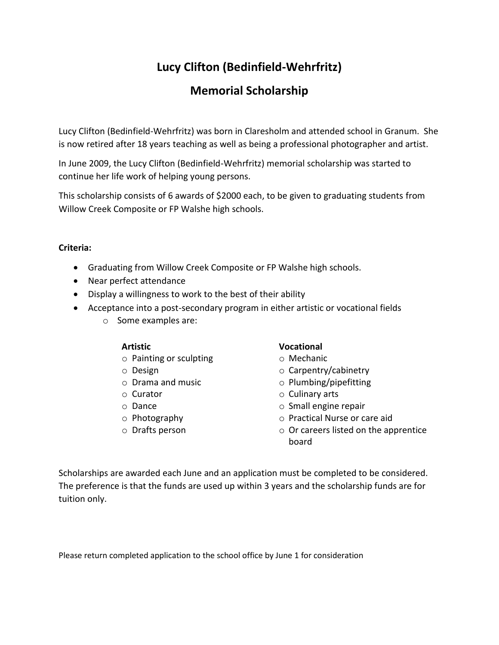## **Lucy Clifton (Bedinfield-Wehrfritz)**

## **Memorial Scholarship**

Lucy Clifton (Bedinfield-Wehrfritz) was born in Claresholm and attended school in Granum. She is now retired after 18 years teaching as well as being a professional photographer and artist.

In June 2009, the Lucy Clifton (Bedinfield-Wehrfritz) memorial scholarship was started to continue her life work of helping young persons.

This scholarship consists of 6 awards of \$2000 each, to be given to graduating students from Willow Creek Composite or FP Walshe high schools.

#### **Criteria:**

- Graduating from Willow Creek Composite or FP Walshe high schools.
- Near perfect attendance
- Display a willingness to work to the best of their ability
- Acceptance into a post-secondary program in either artistic or vocational fields
	- o Some examples are:

- o Painting or sculpting o Mechanic
- 
- 
- 
- 
- 
- 

#### **Artistic Vocational**

- 
- o Design o Carpentry/cabinetry
- o Drama and music o Plumbing/pipefitting
- o Curator o Culinary arts
- o Dance o Small engine repair
- o Photography o Practical Nurse or care aid
- o Drafts person o Or careers listed on the apprentice board

Scholarships are awarded each June and an application must be completed to be considered. The preference is that the funds are used up within 3 years and the scholarship funds are for tuition only.

Please return completed application to the school office by June 1 for consideration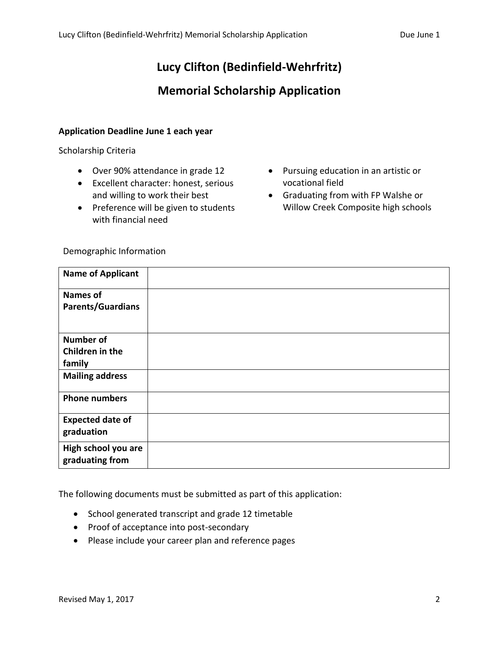## **Lucy Clifton (Bedinfield-Wehrfritz)**

## **Memorial Scholarship Application**

#### **Application Deadline June 1 each year**

Scholarship Criteria

- Over 90% attendance in grade 12
- Excellent character: honest, serious and willing to work their best
- Preference will be given to students with financial need
- Pursuing education in an artistic or vocational field
- Graduating from with FP Walshe or Willow Creek Composite high schools

| <b>Name of Applicant</b> |  |
|--------------------------|--|
| <b>Names of</b>          |  |
| <b>Parents/Guardians</b> |  |
|                          |  |
| <b>Number of</b>         |  |
| Children in the          |  |
| family                   |  |
| <b>Mailing address</b>   |  |
| <b>Phone numbers</b>     |  |
| <b>Expected date of</b>  |  |
| graduation               |  |
| High school you are      |  |
| graduating from          |  |
|                          |  |

The following documents must be submitted as part of this application:

- School generated transcript and grade 12 timetable
- Proof of acceptance into post-secondary
- Please include your career plan and reference pages

Demographic Information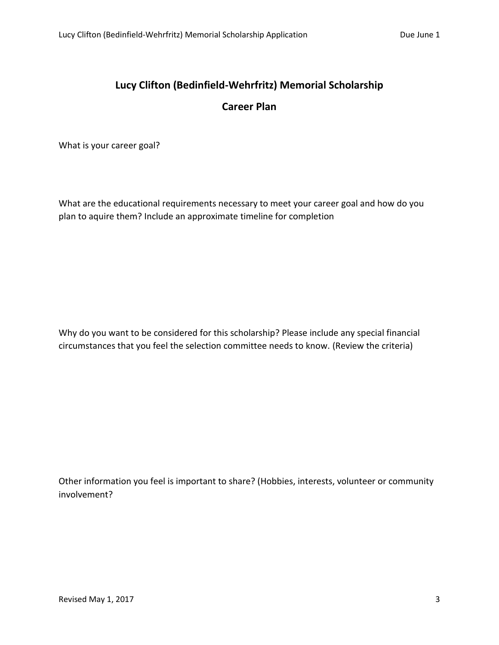## **Lucy Clifton (Bedinfield-Wehrfritz) Memorial Scholarship**

### **Career Plan**

What is your career goal?

What are the educational requirements necessary to meet your career goal and how do you plan to aquire them? Include an approximate timeline for completion

Why do you want to be considered for this scholarship? Please include any special financial circumstances that you feel the selection committee needs to know. (Review the criteria)

Other information you feel is important to share? (Hobbies, interests, volunteer or community involvement?